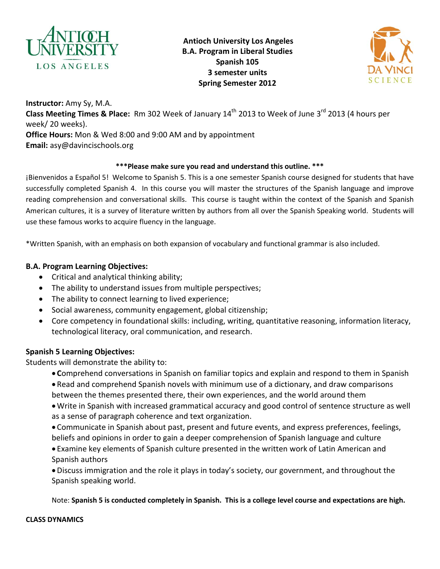

**Antioch University Los Angeles B.A. Program in Liberal Studies Spanish 105 3 semester units Spring Semester 2012** 



**Instructor:** Amy Sy, M.A. Class Meeting Times & Place: Rm 302 Week of January 14<sup>th</sup> 2013 to Week of June 3<sup>rd</sup> 2013 (4 hours per week/ 20 weeks). **Office Hours:** Mon & Wed 8:00 and 9:00 AM and by appointment **Email:** asy@davincischools.org

### **\*\*\*Please make sure you read and understand this outline. \*\*\***

¡Bienvenidos a Español 5! Welcome to Spanish 5. This is a one semester Spanish course designed for students that have successfully completed Spanish 4. In this course you will master the structures of the Spanish language and improve reading comprehension and conversational skills. This course is taught within the context of the Spanish and Spanish American cultures, it is a survey of literature written by authors from all over the Spanish Speaking world. Students will use these famous works to acquire fluency in the language.

\*Written Spanish, with an emphasis on both expansion of vocabulary and functional grammar is also included.

### **B.A. Program Learning Objectives:**

- Critical and analytical thinking ability;
- The ability to understand issues from multiple perspectives;
- The ability to connect learning to lived experience;
- Social awareness, community engagement, global citizenship;
- Core competency in foundational skills: including, writing, quantitative reasoning, information literacy, technological literacy, oral communication, and research.

# **Spanish 5 Learning Objectives:**

Students will demonstrate the ability to:

• **C**omprehend conversations in Spanish on familiar topics and explain and respond to them in Spanish • Read and comprehend Spanish novels with minimum use of a dictionary, and draw comparisons between the themes presented there, their own experiences, and the world around them

• Write in Spanish with increased grammatical accuracy and good control of sentence structure as well as a sense of paragraph coherence and text organization.

• Communicate in Spanish about past, present and future events, and express preferences, feelings, beliefs and opinions in order to gain a deeper comprehension of Spanish language and culture • Examine key elements of Spanish culture presented in the written work of Latin American and Spanish authors

•Discuss immigration and the role it plays in today's society, our government, and throughout the Spanish speaking world.

Note: **Spanish 5 is conducted completely in Spanish. This is a college level course and expectations are high.**

#### **CLASS DYNAMICS**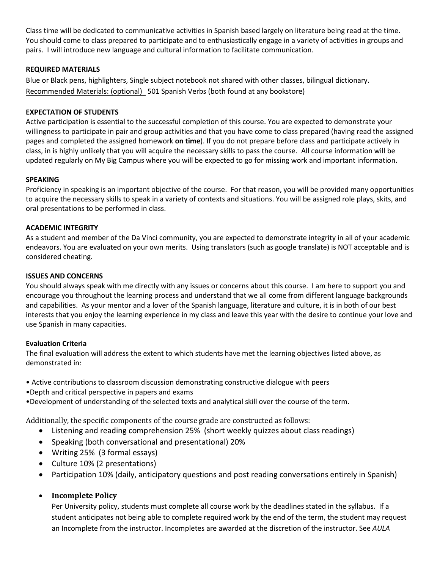Class time will be dedicated to communicative activities in Spanish based largely on literature being read at the time. You should come to class prepared to participate and to enthusiastically engage in a variety of activities in groups and pairs. I will introduce new language and cultural information to facilitate communication.

#### **REQUIRED MATERIALS**

Blue or Black pens, highlighters, Single subject notebook not shared with other classes, bilingual dictionary. Recommended Materials: (optional) 501 Spanish Verbs (both found at any bookstore)

#### **EXPECTATION OF STUDENTS**

Active participation is essential to the successful completion of this course. You are expected to demonstrate your willingness to participate in pair and group activities and that you have come to class prepared (having read the assigned pages and completed the assigned homework **on time**). If you do not prepare before class and participate actively in class, in is highly unlikely that you will acquire the necessary skills to pass the course. All course information will be updated regularly on My Big Campus where you will be expected to go for missing work and important information.

#### **SPEAKING**

Proficiency in speaking is an important objective of the course. For that reason, you will be provided many opportunities to acquire the necessary skills to speak in a variety of contexts and situations. You will be assigned role plays, skits, and oral presentations to be performed in class.

#### **ACADEMIC INTEGRITY**

As a student and member of the Da Vinci community, you are expected to demonstrate integrity in all of your academic endeavors. You are evaluated on your own merits. Using translators (such as google translate) is NOT acceptable and is considered cheating.

#### **ISSUES AND CONCERNS**

You should always speak with me directly with any issues or concerns about this course. I am here to support you and encourage you throughout the learning process and understand that we all come from different language backgrounds and capabilities. As your mentor and a lover of the Spanish language, literature and culture, it is in both of our best interests that you enjoy the learning experience in my class and leave this year with the desire to continue your love and use Spanish in many capacities.

#### **Evaluation Criteria**

The final evaluation will address the extent to which students have met the learning objectives listed above, as demonstrated in:

- Active contributions to classroom discussion demonstrating constructive dialogue with peers
- •Depth and critical perspective in papers and exams
- •Development of understanding of the selected texts and analytical skill over the course of the term.

Additionally, the specific components of the course grade are constructed as follows:

- Listening and reading comprehension 25% (short weekly quizzes about class readings)
- Speaking (both conversational and presentational) 20%
- Writing 25% (3 formal essays)
- Culture 10% (2 presentations)
- Participation 10% (daily, anticipatory questions and post reading conversations entirely in Spanish)

# • **Incomplete Policy**

Per University policy, students must complete all course work by the deadlines stated in the syllabus. If a student anticipates not being able to complete required work by the end of the term, the student may request an Incomplete from the instructor. Incompletes are awarded at the discretion of the instructor. See *AULA*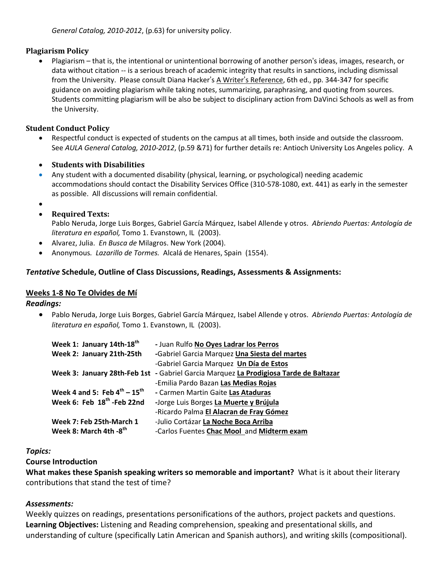*General Catalog, 2010-2012*, (p.63) for university policy.

## **Plagiarism Policy**

• Plagiarism – that is, the intentional or unintentional borrowing of another person's ideas, images, research, or data without citation -- is a serious breach of academic integrity that results in sanctions, including dismissal from the University. Please consult Diana Hacker's A Writer's Reference, 6th ed., pp. 344-347 for specific guidance on avoiding plagiarism while taking notes, summarizing, paraphrasing, and quoting from sources. Students committing plagiarism will be also be subject to disciplinary action from DaVinci Schools as well as from the University.

## **Student Conduct Policy**

- Respectful conduct is expected of students on the campus at all times, both inside and outside the classroom. See *AULA General Catalog, 2010-2012*, (p.59 &71) for further details re: Antioch University Los Angeles policy. A
- **Students with Disabilities**
- Any student with a documented disability (physical, learning, or psychological) needing academic accommodations should contact the Disability Services Office (310-578-1080, ext. 441) as early in the semester as possible. All discussions will remain confidential.
- •
- **Required Texts:**

Pablo Neruda, Jorge Luis Borges, Gabriel García Márquez, Isabel Allende y otros. *Abriendo Puertas: Antología de literatura en español,* Tomo 1. Evanstown, IL (2003).

- Alvarez, Julia. *En Busca de* Milagros. New York (2004).
- Anonymous*. Lazarillo de Tormes.* [Alcalá de Henares,](http://en.wikipedia.org/wiki/Alcal%C3%A1_de_Henares) Spain (1554).

# *Tentative* **Schedule, Outline of Class Discussions, Readings, Assessments & Assignments:**

### **Weeks 1-8 No Te Olvides de Mí**

### *Readings:*

• Pablo Neruda, Jorge Luis Borges, Gabriel García Márquez, Isabel Allende y otros. *Abriendo Puertas: Antología de literatura en español,* Tomo 1. Evanstown, IL (2003).

| Week 1: January 14th-18 <sup>th</sup>  | - Juan Rulfo No Oyes Ladrar los Perros                                                |
|----------------------------------------|---------------------------------------------------------------------------------------|
| Week 2: January 21th-25th              | -Gabriel Garcia Marquez Una Siesta del martes                                         |
|                                        | -Gabriel Garcia Marquez Un Día de Estos                                               |
|                                        | Week 3: January 28th-Feb 1st - Gabriel Garcia Marquez La Prodigiosa Tarde de Baltazar |
|                                        | -Emilia Pardo Bazan Las Medias Rojas                                                  |
| Week 4 and 5: Feb $4^{th} - 15^{th}$   | - Carmen Martin Gaite Las Ataduras                                                    |
| Week 6: Feb 18 <sup>th</sup> -Feb 22nd | -Jorge Luis Borges La Muerte y Brújula                                                |
|                                        | -Ricardo Palma El Alacran de Fray Gómez                                               |
| Week 7: Feb 25th-March 1               | -Julio Cortázar La Noche Boca Arriba                                                  |
| Week 8: March 4th -8th                 | -Carlos Fuentes Chac Mool and Midterm exam                                            |

### *Topics:*

# **Course Introduction**

**What makes these Spanish speaking writers so memorable and important?** What is it about their literary contributions that stand the test of time?

# *Assessments:*

Weekly quizzes on readings, presentations personifications of the authors, project packets and questions. **Learning Objectives:** Listening and Reading comprehension, speaking and presentational skills, and understanding of culture (specifically Latin American and Spanish authors), and writing skills (compositional).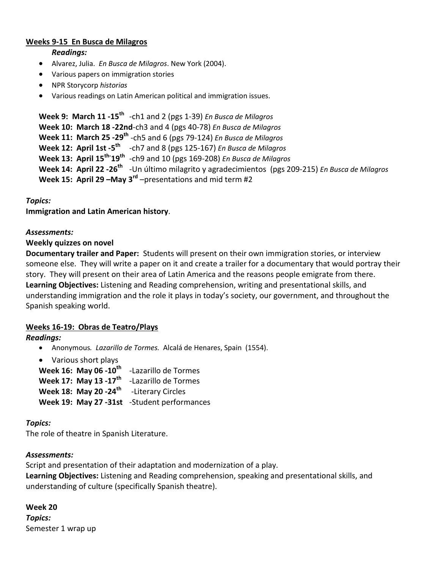# **Weeks 9-15 En Busca de Milagros**

#### *Readings:*

- Alvarez, Julia. *En Busca de Milagros*. New York (2004).
- Various papers on immigration stories
- NPR Storycorp *historias*
- Various readings on Latin American political and immigration issues.

```
Week 9: March 11 -15th -ch1 and 2 (pgs 1-39) En Busca de Milagros
Week 10: March 18 -22nd-ch3 and 4 (pgs 40-78) En Busca de Milagros
Week 11: March 25 -29th -ch5 and 6 (pgs 79-124) En Busca de Milagros
Week 12: April 1st -5th -ch7 and 8 (pgs 125-167) En Busca de Milagros
Week 13: April 15th-
19th -ch9 and 10 (pgs 169-208) En Busca de Milagros
Week 14: April 22 -26th -Un último milagrito y agradecimientos (pgs 209-215) En Busca de Milagros
Week 15: April 29 –May 3rd –presentations and mid term #2
```
### *Topics:*

**Immigration and Latin American history**.

### *Assessments:*

### **Weekly quizzes on novel**

**Documentary trailer and Paper:** Students will present on their own immigration stories, or interview someone else. They will write a paper on it and create a trailer for a documentary that would portray their story. They will present on their area of Latin America and the reasons people emigrate from there. **Learning Objectives:** Listening and Reading comprehension, writing and presentational skills, and understanding immigration and the role it plays in today's society, our government, and throughout the Spanish speaking world.

### **Weeks 16-19: Obras de Teatro/Plays**

### *Readings:*

- Anonymous*. Lazarillo de Tormes.* [Alcalá de Henares,](http://en.wikipedia.org/wiki/Alcal%C3%A1_de_Henares) Spain (1554).
- Various short plays

**Week 16: May 06 -10th** -Lazarillo de Tormes **Week 17: May 13 -17th** -Lazarillo de Tormes **Week 18: May 20 -24th** -Literary Circles **Week 19: May 27 -31st** -Student performances

### *Topics:*

The role of theatre in Spanish Literature.

### *Assessments:*

Script and presentation of their adaptation and modernization of a play.

**Learning Objectives:** Listening and Reading comprehension, speaking and presentational skills, and understanding of culture (specifically Spanish theatre).

**Week 20** *Topics:* Semester 1 wrap up